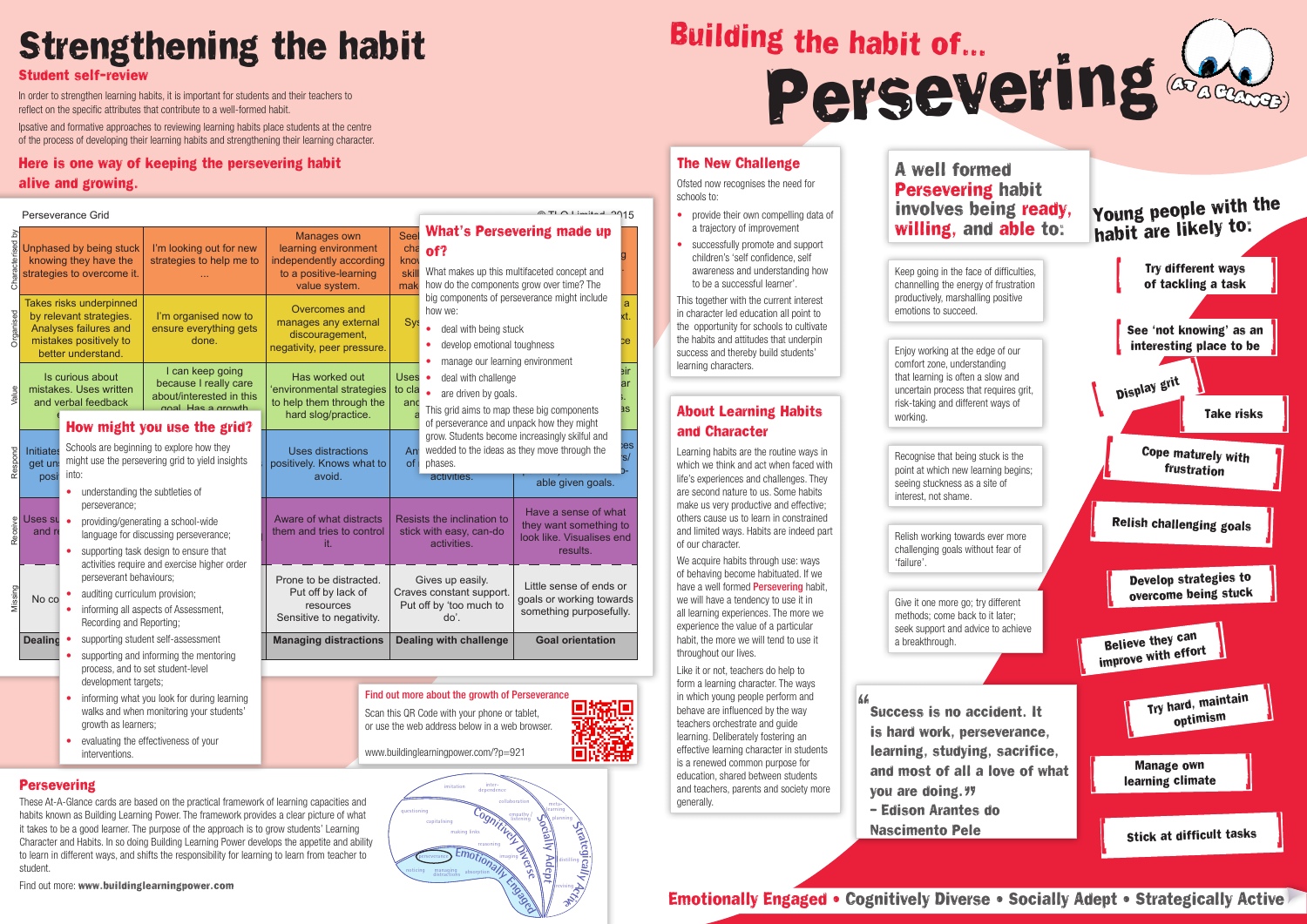# Building the habit of…

Persevering

#### The New Challenge

 $\land$  TLO Limited, 2915

пM

Ofsted now recognises the need for schools to:

- provide their own compelling data of a trajectory of improvement
- successfully promote and support children's 'self confidence, self awareness and understanding how to be a successful learner'.

We acquire habits through use: ways of behaving become habituated. If we have a well formed **Persevering** habit. we will have a tendency to use it in all learning experiences. The more we experience the value of a particular habit, the more we will tend to use it throughout our lives.

This together with the current interest in character led education all point to the opportunity for schools to cultivate the habits and attitudes that underpin success and thereby build students' learning characters.

#### About Learning Habits and Character

Learning habits are the routine ways in which we think and act when faced with life's experiences and challenges. They are second nature to us. Some habits make us very productive and effective; others cause us to learn in constrained and limited ways. Habits are indeed part of our character.

Like it or not, teachers do help to form a learning character. The ways in which young people perform and behave are influenced by the way teachers orchestrate and guide learning. Deliberately fostering an effective learning character in students is a renewed common purpose for education, shared between students and teachers, parents and society more generally.

## A well formed Persevering habit involves being ready, willing, and able to:

Keep going in the face of difficulties, channelling the energy of frustration productively, marshalling positive emotions to succeed.



Recognise that being stuck is the point at which new learning begins; seeing stuckness as a site of interest, not shame.

Relish working towards ever more challenging goals without fear of 'failure'.

Give it one more go; try different methods; come back to it later; seek support and advice to achieve a breakthrough.

Scan this QR Code with your phone or tablet, or use the web address below in a web browser.

www.buildinglearningpower.com/?p=921

Enjoy working at the edge of our comfort zone, understanding that learning is often a slow and uncertain process that requires grit, risk-taking and different ways of working.

# Strengthening the habit

# Emotionally Engaged • Cognitively Diverse • Socially Adept • Strategically Active

#### Student self-review

In order to strengthen learning habits, it is important for students and their teachers to reflect on the specific attributes that contribute to a well-formed habit.

Ipsative and formative approaches to reviewing learning habits place students at the centre of the process of developing their learning habits and strengthening their learning character.

#### Here is one way of keeping the persevering habit alive and growing.

- informing what you look for during learning walks and when monitoring your students' growth as learners;
- evaluating the effectiveness of your interventions.



student.

#### Find out more: www.buildinglearningpower.com

**Persevering** 

Characterised by

Organised

Value

Respond

Receive

Missing

#### Perseverance Grid

| Unphased by being stuck<br>knowing they have the<br>strategies to overcome it.                                              |                                                                                                                                                                                                                                                                                                                                                                                                                                                                                                                              | I'm looking out for new<br>strategies to help me to                                        | Manages own<br>learning environment<br>independently according<br>to a positive-learning<br>value system. |  | Seel<br>cha<br>kno<br>skill<br>mak                                              | of?<br>What makes up this multifaceted concept and<br>how do the components grow over time? The                                                                                        | <b>What's Persevering made up</b>                                                       |                        |
|-----------------------------------------------------------------------------------------------------------------------------|------------------------------------------------------------------------------------------------------------------------------------------------------------------------------------------------------------------------------------------------------------------------------------------------------------------------------------------------------------------------------------------------------------------------------------------------------------------------------------------------------------------------------|--------------------------------------------------------------------------------------------|-----------------------------------------------------------------------------------------------------------|--|---------------------------------------------------------------------------------|----------------------------------------------------------------------------------------------------------------------------------------------------------------------------------------|-----------------------------------------------------------------------------------------|------------------------|
| Takes risks underpinned<br>by relevant strategies.<br>Analyses failures and<br>mistakes positively to<br>better understand. |                                                                                                                                                                                                                                                                                                                                                                                                                                                                                                                              | I'm organised now to<br>ensure everything gets<br>done.                                    | Overcomes and<br>manages any external<br>discouragement,<br>negativity, peer pressure.                    |  | <b>Sys</b>                                                                      | how we:<br>deal with being stuck<br>develop emotional toughness                                                                                                                        | big components of perseverance might include                                            | a<br>xt.<br>ce.        |
| Is curious about<br>mistakes. Uses written<br>and verbal feedback                                                           |                                                                                                                                                                                                                                                                                                                                                                                                                                                                                                                              | I can keep going<br>because I really care<br>about/interested in this<br>dhwann a zaH lann | Has worked out<br>environmental strategies<br>to help them through the<br>hard slog/practice.             |  | <b>Uses</b><br>to cla<br>and                                                    | manage our learning environment<br>deal with challenge<br>$\bullet$<br>are driven by goals.<br>This grid aims to map these big components<br>of perseverance and unpack how they might |                                                                                         | eir<br>ar<br><b>as</b> |
| Initiates<br>get un<br>posi                                                                                                 | How might you use the grid?<br>Schools are beginning to explore how they<br>might use the persevering grid to yield insights<br>into:<br>understanding the subtleties of<br>$\bullet$<br>perseverance;<br>providing/generating a school-wide<br>language for discussing perseverance;<br>supporting task design to ensure that<br>$\bullet$<br>activities require and exercise higher order<br>perseverant behaviours;<br>auditing curriculum provision;<br>informing all aspects of Assessment,<br>Recording and Reporting; |                                                                                            | <b>Uses distractions</b><br>positively. Knows what to<br>avoid.                                           |  | An<br><b>of</b>                                                                 | grow. Students become increasingly skilful and<br>wedded to the ideas as they move through the<br>phases.<br>activities.<br>able given goals.                                          |                                                                                         |                        |
| Uses su<br>and re                                                                                                           |                                                                                                                                                                                                                                                                                                                                                                                                                                                                                                                              |                                                                                            | Aware of what distracts<br>them and tries to control<br>it.                                               |  | Resists the inclination to<br>stick with easy, can-do<br>activities.            |                                                                                                                                                                                        | Have a sense of what<br>they want something to<br>look like. Visualises end<br>results. |                        |
| No co                                                                                                                       |                                                                                                                                                                                                                                                                                                                                                                                                                                                                                                                              |                                                                                            | Prone to be distracted.<br>Put off by lack of<br>resources<br>Sensitive to negativity.                    |  | Gives up easily.<br>Craves constant support.<br>Put off by 'too much to<br>do'. |                                                                                                                                                                                        | Little sense of ends or<br>goals or working towards<br>something purposefully.          |                        |
| <b>Dealing</b>                                                                                                              | supporting student self-assessment<br>supporting and informing the mentoring<br>process, and to set student-level<br>development targets;                                                                                                                                                                                                                                                                                                                                                                                    |                                                                                            | <b>Managing distractions</b>                                                                              |  |                                                                                 | <b>Dealing with challenge</b>                                                                                                                                                          | <b>Goal orientation</b>                                                                 |                        |
|                                                                                                                             |                                                                                                                                                                                                                                                                                                                                                                                                                                                                                                                              |                                                                                            | Find out more about the growth of Perseverance                                                            |  |                                                                                 |                                                                                                                                                                                        |                                                                                         |                        |
|                                                                                                                             |                                                                                                                                                                                                                                                                                                                                                                                                                                                                                                                              | informing what you look for during learning                                                |                                                                                                           |  |                                                                                 |                                                                                                                                                                                        |                                                                                         |                        |

# Success is no accident. It is hard work, perseverance,

66

learning, studying, sacrifice, and most of all a love of what you are doing. you are doing.*។*›<br>– Edison Arantes do Nascimento Pele